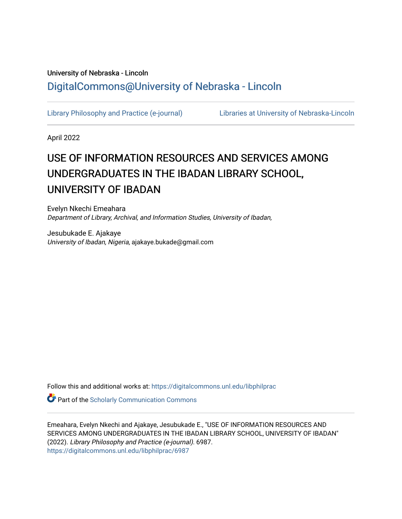# University of Nebraska - Lincoln [DigitalCommons@University of Nebraska - Lincoln](https://digitalcommons.unl.edu/)

[Library Philosophy and Practice \(e-journal\)](https://digitalcommons.unl.edu/libphilprac) [Libraries at University of Nebraska-Lincoln](https://digitalcommons.unl.edu/libraries) 

April 2022

# USE OF INFORMATION RESOURCES AND SERVICES AMONG UNDERGRADUATES IN THE IBADAN LIBRARY SCHOOL, UNIVERSITY OF IBADAN

Evelyn Nkechi Emeahara Department of Library, Archival, and Information Studies, University of Ibadan,

Jesubukade E. Ajakaye University of Ibadan, Nigeria, ajakaye.bukade@gmail.com

Follow this and additional works at: [https://digitalcommons.unl.edu/libphilprac](https://digitalcommons.unl.edu/libphilprac?utm_source=digitalcommons.unl.edu%2Flibphilprac%2F6987&utm_medium=PDF&utm_campaign=PDFCoverPages) 

**Part of the Scholarly Communication Commons** 

Emeahara, Evelyn Nkechi and Ajakaye, Jesubukade E., "USE OF INFORMATION RESOURCES AND SERVICES AMONG UNDERGRADUATES IN THE IBADAN LIBRARY SCHOOL, UNIVERSITY OF IBADAN" (2022). Library Philosophy and Practice (e-journal). 6987. [https://digitalcommons.unl.edu/libphilprac/6987](https://digitalcommons.unl.edu/libphilprac/6987?utm_source=digitalcommons.unl.edu%2Flibphilprac%2F6987&utm_medium=PDF&utm_campaign=PDFCoverPages)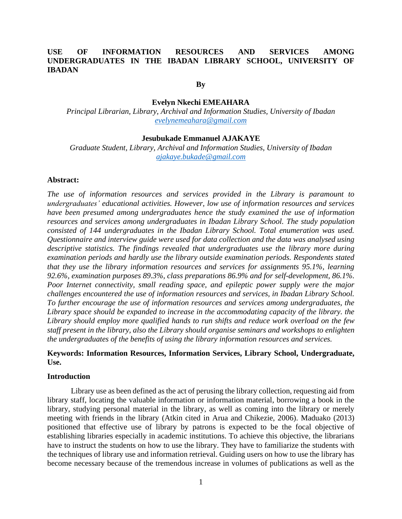# **USE OF INFORMATION RESOURCES AND SERVICES AMONG UNDERGRADUATES IN THE IBADAN LIBRARY SCHOOL, UNIVERSITY OF IBADAN**

#### **By**

## **Evelyn Nkechi EMEAHARA**

*Principal Librarian, Library, Archival and Information Studies, University of Ibadan [evelynemeahara@gmail.com](mailto:evelynemeahara@gmail.com)*

#### **Jesubukade Emmanuel AJAKAYE**

*Graduate Student, Library, Archival and Information Studies, University of Ibadan [ajakaye.bukade@gmail.com](mailto:ajakaye.bukade@gmail.com)*

#### **Abstract:**

*The use of information resources and services provided in the Library is paramount to undergraduates' educational activities. However, low use of information resources and services have been presumed among undergraduates hence the study examined the use of information resources and services among undergraduates in Ibadan Library School. The study population consisted of 144 undergraduates in the Ibadan Library School. Total enumeration was used. Questionnaire and interview guide were used for data collection and the data was analysed using descriptive statistics. The findings revealed that undergraduates use the library more during examination periods and hardly use the library outside examination periods. Respondents stated that they use the library information resources and services for assignments 95.1%, learning 92.6%, examination purposes 89.3%, class preparations 86.9% and for self-development, 86.1%. Poor Internet connectivity, small reading space, and epileptic power supply were the major challenges encountered the use of information resources and services, in Ibadan Library School. To further encourage the use of information resources and services among undergraduates, the Library space should be expanded to increase in the accommodating capacity of the library. the Library should employ more qualified hands to run shifts and reduce work overload on the few staff present in the library, also the Library should organise seminars and workshops to enlighten the undergraduates of the benefits of using the library information resources and services.*

# **Keywords: Information Resources, Information Services, Library School, Undergraduate, Use.**

#### **Introduction**

Library use as been defined as the act of perusing the library collection, requesting aid from library staff, locating the valuable information or information material, borrowing a book in the library, studying personal material in the library, as well as coming into the library or merely meeting with friends in the library (Atkin cited in Arua and Chikezie, 2006). Maduako (2013) positioned that effective use of library by patrons is expected to be the focal objective of establishing libraries especially in academic institutions. To achieve this objective, the librarians have to instruct the students on how to use the library. They have to familiarize the students with the techniques of library use and information retrieval. Guiding users on how to use the library has become necessary because of the tremendous increase in volumes of publications as well as the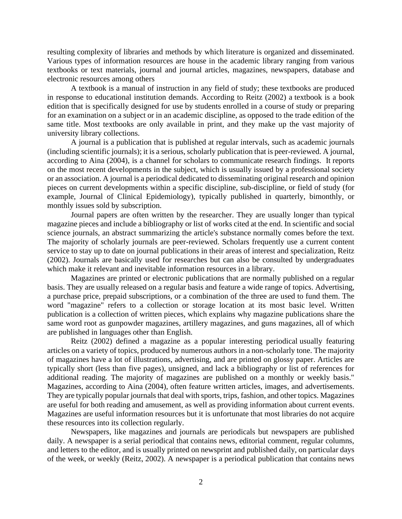resulting complexity of libraries and methods by which literature is organized and disseminated. Various types of information resources are house in the academic library ranging from various textbooks or text materials, journal and journal articles, magazines, newspapers, database and electronic resources among others

A textbook is a manual of instruction in any field of study; these textbooks are produced in response to educational institution demands. According to Reitz (2002) a textbook is a book edition that is specifically designed for use by students enrolled in a course of study or preparing for an examination on a subject or in an academic discipline, as opposed to the trade edition of the same title. Most textbooks are only available in print, and they make up the vast majority of university library collections.

A journal is a publication that is published at regular intervals, such as academic journals (including scientific journals); it is a serious, scholarly publication that is peer-reviewed. A journal, according to Aina (2004), is a channel for scholars to communicate research findings. It reports on the most recent developments in the subject, which is usually issued by a professional society or an association. A journal is a periodical dedicated to disseminating original research and opinion pieces on current developments within a specific discipline, sub-discipline, or field of study (for example, Journal of Clinical Epidemiology), typically published in quarterly, bimonthly, or monthly issues sold by subscription.

Journal papers are often written by the researcher. They are usually longer than typical magazine pieces and include a bibliography or list of works cited at the end. In scientific and social science journals, an abstract summarizing the article's substance normally comes before the text. The majority of scholarly journals are peer-reviewed. Scholars frequently use a current content service to stay up to date on journal publications in their areas of interest and specialization, Reitz (2002). Journals are basically used for researches but can also be consulted by undergraduates which make it relevant and inevitable information resources in a library.

Magazines are printed or electronic publications that are normally published on a regular basis. They are usually released on a regular basis and feature a wide range of topics. Advertising, a purchase price, prepaid subscriptions, or a combination of the three are used to fund them. The word "magazine" refers to a collection or storage location at its most basic level. Written publication is a collection of written pieces, which explains why magazine publications share the same word root as gunpowder magazines, artillery magazines, and guns magazines, all of which are published in languages other than English.

Reitz (2002) defined a magazine as a popular interesting periodical usually featuring articles on a variety of topics, produced by numerous authors in a non-scholarly tone. The majority of magazines have a lot of illustrations, advertising, and are printed on glossy paper. Articles are typically short (less than five pages), unsigned, and lack a bibliography or list of references for additional reading. The majority of magazines are published on a monthly or weekly basis." Magazines, according to Aina (2004), often feature written articles, images, and advertisements. They are typically popular journals that deal with sports, trips, fashion, and other topics. Magazines are useful for both reading and amusement, as well as providing information about current events. Magazines are useful information resources but it is unfortunate that most libraries do not acquire these resources into its collection regularly.

Newspapers, like magazines and journals are periodicals but newspapers are published daily. A newspaper is a serial periodical that contains news, editorial comment, regular columns, and letters to the editor, and is usually printed on newsprint and published daily, on particular days of the week, or weekly (Reitz, 2002). A newspaper is a periodical publication that contains news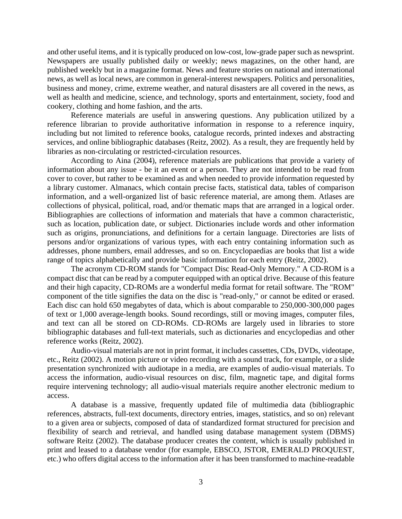and other useful items, and it is typically produced on low-cost, low-grade paper such as newsprint. Newspapers are usually published daily or weekly; news magazines, on the other hand, are published weekly but in a magazine format. News and feature stories on national and international news, as well as local news, are common in general-interest newspapers. Politics and personalities, business and money, crime, extreme weather, and natural disasters are all covered in the news, as well as health and medicine, science, and technology, sports and entertainment, society, food and cookery, clothing and home fashion, and the arts.

Reference materials are useful in answering questions. Any publication utilized by a reference librarian to provide authoritative information in response to a reference inquiry, including but not limited to reference books, catalogue records, printed indexes and abstracting services, and online bibliographic databases (Reitz, 2002). As a result, they are frequently held by libraries as non-circulating or restricted-circulation resources.

According to Aina (2004), reference materials are publications that provide a variety of information about any issue - be it an event or a person. They are not intended to be read from cover to cover, but rather to be examined as and when needed to provide information requested by a library customer. Almanacs, which contain precise facts, statistical data, tables of comparison information, and a well-organized list of basic reference material, are among them. Atlases are collections of physical, political, road, and/or thematic maps that are arranged in a logical order. Bibliographies are collections of information and materials that have a common characteristic, such as location, publication date, or subject. Dictionaries include words and other information such as origins, pronunciations, and definitions for a certain language. Directories are lists of persons and/or organizations of various types, with each entry containing information such as addresses, phone numbers, email addresses, and so on. Encyclopaedias are books that list a wide range of topics alphabetically and provide basic information for each entry (Reitz, 2002).

The acronym CD-ROM stands for "Compact Disc Read-Only Memory." A CD-ROM is a compact disc that can be read by a computer equipped with an optical drive. Because of this feature and their high capacity, CD-ROMs are a wonderful media format for retail software. The "ROM" component of the title signifies the data on the disc is "read-only," or cannot be edited or erased. Each disc can hold 650 megabytes of data, which is about comparable to 250,000-300,000 pages of text or 1,000 average-length books. Sound recordings, still or moving images, computer files, and text can all be stored on CD-ROMs. CD-ROMs are largely used in libraries to store bibliographic databases and full-text materials, such as dictionaries and encyclopedias and other reference works (Reitz, 2002).

Audio-visual materials are not in print format, it includes cassettes, CDs, DVDs, videotape, etc., Reitz (2002). A motion picture or video recording with a sound track, for example, or a slide presentation synchronized with audiotape in a media, are examples of audio-visual materials. To access the information, audio-visual resources on disc, film, magnetic tape, and digital forms require intervening technology; all audio-visual materials require another electronic medium to access.

A database is a massive, frequently updated file of multimedia data (bibliographic references, abstracts, full-text documents, directory entries, images, statistics, and so on) relevant to a given area or subjects, composed of data of standardized format structured for precision and flexibility of search and retrieval, and handled using database management system (DBMS) software Reitz (2002). The database producer creates the content, which is usually published in print and leased to a database vendor (for example, EBSCO, JSTOR, EMERALD PROQUEST, etc.) who offers digital access to the information after it has been transformed to machine-readable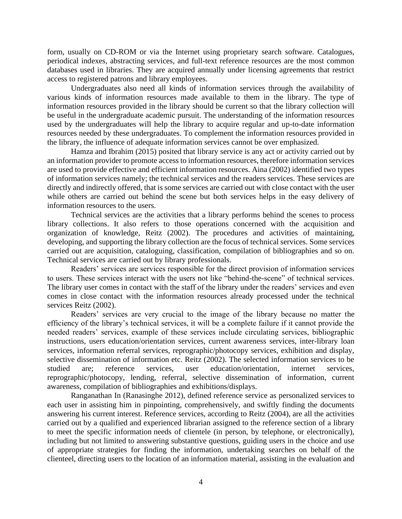form, usually on CD-ROM or via the Internet using proprietary search software. Catalogues, periodical indexes, abstracting services, and full-text reference resources are the most common databases used in libraries. They are acquired annually under licensing agreements that restrict access to registered patrons and library employees.

Undergraduates also need all kinds of information services through the availability of various kinds of information resources made available to them in the library. The type of information resources provided in the library should be current so that the library collection will be useful in the undergraduate academic pursuit. The understanding of the information resources used by the undergraduates will help the library to acquire regular and up-to-date information resources needed by these undergraduates. To complement the information resources provided in the library, the influence of adequate information services cannot be over emphasized.

Hamza and Ibrahim (2015) posited that library service is any act or activity carried out by an information provider to promote access to information resources, therefore information services are used to provide effective and efficient information resources. Aina (2002) identified two types of information services namely; the technical services and the readers services. These services are directly and indirectly offered, that is some services are carried out with close contact with the user while others are carried out behind the scene but both services helps in the easy delivery of information resources to the users.

Technical services are the activities that a library performs behind the scenes to process library collections. It also refers to those operations concerned with the acquisition and organization of knowledge, Reitz (2002). The procedures and activities of maintaining, developing, and supporting the library collection are the focus of technical services. Some services carried out are acquisition, cataloguing, classification, compilation of bibliographies and so on. Technical services are carried out by library professionals.

Readers' services are services responsible for the direct provision of information services to users. These services interact with the users not like "behind-the-scene" of technical services. The library user comes in contact with the staff of the library under the readers' services and even comes in close contact with the information resources already processed under the technical services Reitz (2002).

Readers' services are very crucial to the image of the library because no matter the efficiency of the library's technical services, it will be a complete failure if it cannot provide the needed readers' services, example of these services include circulating services, bibliographic instructions, users education/orientation services, current awareness services, inter-library loan services, information referral services, reprographic/photocopy services, exhibition and display, selective dissemination of information etc. Reitz (2002). The selected information services to be studied are; reference services, user education/orientation, internet services, reprographic/photocopy, lending, referral, selective dissemination of information, current awareness, compilation of bibliographies and exhibitions/displays.

Ranganathan In (Ranasinghe 2012), defined reference service as personalized services to each user in assisting him in pinpointing, comprehensively, and swiftly finding the documents answering his current interest. Reference services, according to Reitz (2004), are all the activities carried out by a qualified and experienced librarian assigned to the reference section of a library to meet the specific information needs of clientele (in person, by telephone, or electronically), including but not limited to answering substantive questions, guiding users in the choice and use of appropriate strategies for finding the information, undertaking searches on behalf of the clienteel, directing users to the location of an information material, assisting in the evaluation and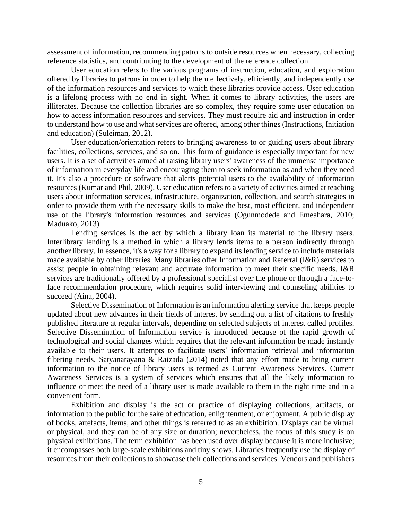assessment of information, recommending patrons to outside resources when necessary, collecting reference statistics, and contributing to the development of the reference collection.

User education refers to the various programs of instruction, education, and exploration offered by libraries to patrons in order to help them effectively, efficiently, and independently use of the information resources and services to which these libraries provide access. User education is a lifelong process with no end in sight. When it comes to library activities, the users are illiterates. Because the collection libraries are so complex, they require some user education on how to access information resources and services. They must require aid and instruction in order to understand how to use and what services are offered, among other things (Instructions, Initiation and education) (Suleiman, 2012).

User education/orientation refers to bringing awareness to or guiding users about library facilities, collections, services, and so on. This form of guidance is especially important for new users. It is a set of activities aimed at raising library users' awareness of the immense importance of information in everyday life and encouraging them to seek information as and when they need it. It's also a procedure or software that alerts potential users to the availability of information resources (Kumar and Phil, 2009). User education refers to a variety of activities aimed at teaching users about information services, infrastructure, organization, collection, and search strategies in order to provide them with the necessary skills to make the best, most efficient, and independent use of the library's information resources and services (Ogunmodede and Emeahara, 2010; Maduako, 2013).

Lending services is the act by which a library loan its material to the library users. Interlibrary lending is a method in which a library lends items to a person indirectly through another library. In essence, it's a way for a library to expand its lending service to include materials made available by other libraries. Many libraries offer Information and Referral (I&R) services to assist people in obtaining relevant and accurate information to meet their specific needs. I&R services are traditionally offered by a professional specialist over the phone or through a face-toface recommendation procedure, which requires solid interviewing and counseling abilities to succeed (Aina, 2004).

Selective Dissemination of Information is an information alerting service that keeps people updated about new advances in their fields of interest by sending out a list of citations to freshly published literature at regular intervals, depending on selected subjects of interest called profiles. Selective Dissemination of Information service is introduced because of the rapid growth of technological and social changes which requires that the relevant information be made instantly available to their users. It attempts to facilitate users' information retrieval and information filtering needs. Satyanarayana & Raizada (2014) noted that any effort made to bring current information to the notice of library users is termed as Current Awareness Services. Current Awareness Services is a system of services which ensures that all the likely information to influence or meet the need of a library user is made available to them in the right time and in a convenient form.

Exhibition and display is the act or practice of displaying collections, artifacts, or information to the public for the sake of education, enlightenment, or enjoyment. A public display of books, artefacts, items, and other things is referred to as an exhibition. Displays can be virtual or physical, and they can be of any size or duration; nevertheless, the focus of this study is on physical exhibitions. The term exhibition has been used over display because it is more inclusive; it encompasses both large-scale exhibitions and tiny shows. Libraries frequently use the display of resources from their collections to showcase their collections and services. Vendors and publishers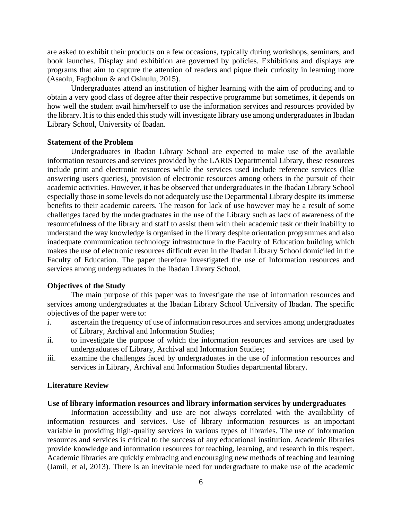are asked to exhibit their products on a few occasions, typically during workshops, seminars, and book launches. Display and exhibition are governed by policies. Exhibitions and displays are programs that aim to capture the attention of readers and pique their curiosity in learning more (Asaolu, Fagbohun & and Osinulu, 2015).

Undergraduates attend an institution of higher learning with the aim of producing and to obtain a very good class of degree after their respective programme but sometimes, it depends on how well the student avail him/herself to use the information services and resources provided by the library. It is to this ended this study will investigate library use among undergraduates in Ibadan Library School, University of Ibadan.

#### **Statement of the Problem**

Undergraduates in Ibadan Library School are expected to make use of the available information resources and services provided by the LARIS Departmental Library, these resources include print and electronic resources while the services used include reference services (like answering users queries), provision of electronic resources among others in the pursuit of their academic activities. However, it has be observed that undergraduates in the Ibadan Library School especially those in some levels do not adequately use the Departmental Library despite its immerse benefits to their academic careers. The reason for lack of use however may be a result of some challenges faced by the undergraduates in the use of the Library such as lack of awareness of the resourcefulness of the library and staff to assist them with their academic task or their inability to understand the way knowledge is organised in the library despite orientation programmes and also inadequate communication technology infrastructure in the Faculty of Education building which makes the use of electronic resources difficult even in the Ibadan Library School domiciled in the Faculty of Education. The paper therefore investigated the use of Information resources and services among undergraduates in the Ibadan Library School.

## **Objectives of the Study**

The main purpose of this paper was to investigate the use of information resources and services among undergraduates at the Ibadan Library School University of Ibadan. The specific objectives of the paper were to:

- i. ascertain the frequency of use of information resources and services among undergraduates of Library, Archival and Information Studies;
- ii. to investigate the purpose of which the information resources and services are used by undergraduates of Library, Archival and Information Studies;
- iii. examine the challenges faced by undergraduates in the use of information resources and services in Library, Archival and Information Studies departmental library.

#### **Literature Review**

#### **Use of library information resources and library information services by undergraduates**

Information accessibility and use are not always correlated with the availability of information resources and services. Use of library information resources is an important variable in providing high-quality services in various types of libraries. The use of information resources and services is critical to the success of any educational institution. Academic libraries provide knowledge and information resources for teaching, learning, and research in this respect. Academic libraries are quickly embracing and encouraging new methods of teaching and learning (Jamil, et al, 2013). There is an inevitable need for undergraduate to make use of the academic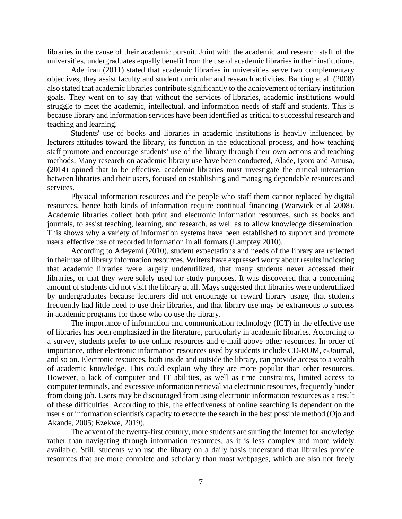libraries in the cause of their academic pursuit. Joint with the academic and research staff of the universities, undergraduates equally benefit from the use of academic libraries in their institutions.

Adeniran (2011) stated that academic libraries in universities serve two complementary objectives, they assist faculty and student curricular and research activities. Banting et al. (2008) also stated that academic libraries contribute significantly to the achievement of tertiary institution goals. They went on to say that without the services of libraries, academic institutions would struggle to meet the academic, intellectual, and information needs of staff and students. This is because library and information services have been identified as critical to successful research and teaching and learning.

Students' use of books and libraries in academic institutions is heavily influenced by lecturers attitudes toward the library, its function in the educational process, and how teaching staff promote and encourage students' use of the library through their own actions and teaching methods. Many research on academic library use have been conducted, Alade, Iyoro and Amusa, (2014) opined that to be effective, academic libraries must investigate the critical interaction between libraries and their users, focused on establishing and managing dependable resources and services.

Physical information resources and the people who staff them cannot replaced by digital resources, hence both kinds of information require continual financing (Warwick et al 2008). Academic libraries collect both print and electronic information resources, such as books and journals, to assist teaching, learning, and research, as well as to allow knowledge dissemination. This shows why a variety of information systems have been established to support and promote users' effective use of recorded information in all formats (Lamptey 2010).

According to Adeyemi (2010), student expectations and needs of the library are reflected in their use of library information resources. Writers have expressed worry about results indicating that academic libraries were largely underutilized, that many students never accessed their libraries, or that they were solely used for study purposes. It was discovered that a concerning amount of students did not visit the library at all. Mays suggested that libraries were underutilized by undergraduates because lecturers did not encourage or reward library usage, that students frequently had little need to use their libraries, and that library use may be extraneous to success in academic programs for those who do use the library.

The importance of information and communication technology (ICT) in the effective use of libraries has been emphasized in the literature, particularly in academic libraries. According to a survey, students prefer to use online resources and e-mail above other resources. In order of importance, other electronic information resources used by students include CD-ROM, e-Journal, and so on. Electronic resources, both inside and outside the library, can provide access to a wealth of academic knowledge. This could explain why they are more popular than other resources. However, a lack of computer and IT abilities, as well as time constraints, limited access to computer terminals, and excessive information retrieval via electronic resources, frequently hinder from doing job. Users may be discouraged from using electronic information resources as a result of these difficulties. According to this, the effectiveness of online searching is dependent on the user's or information scientist's capacity to execute the search in the best possible method (Ojo and Akande, 2005; Ezekwe, 2019).

The advent of the twenty-first century, more students are surfing the Internet for knowledge rather than navigating through information resources, as it is less complex and more widely available. Still, students who use the library on a daily basis understand that libraries provide resources that are more complete and scholarly than most webpages, which are also not freely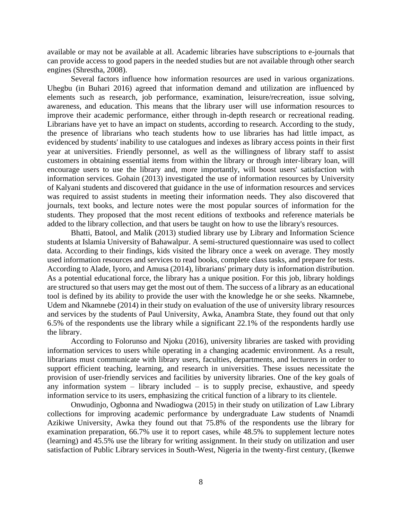available or may not be available at all. Academic libraries have subscriptions to e-journals that can provide access to good papers in the needed studies but are not available through other search engines (Shrestha, 2008).

Several factors influence how information resources are used in various organizations. Uhegbu (in Buhari 2016) agreed that information demand and utilization are influenced by elements such as research, job performance, examination, leisure/recreation, issue solving, awareness, and education. This means that the library user will use information resources to improve their academic performance, either through in-depth research or recreational reading. Librarians have yet to have an impact on students, according to research. According to the study, the presence of librarians who teach students how to use libraries has had little impact, as evidenced by students' inability to use catalogues and indexes as library access points in their first year at universities. Friendly personnel, as well as the willingness of library staff to assist customers in obtaining essential items from within the library or through inter-library loan, will encourage users to use the library and, more importantly, will boost users' satisfaction with information services. Gohain (2013) investigated the use of information resources by University of Kalyani students and discovered that guidance in the use of information resources and services was required to assist students in meeting their information needs. They also discovered that journals, text books, and lecture notes were the most popular sources of information for the students. They proposed that the most recent editions of textbooks and reference materials be added to the library collection, and that users be taught on how to use the library's resources.

Bhatti, Batool, and Malik (2013) studied library use by Library and Information Science students at Islamia University of Bahawalpur. A semi-structured questionnaire was used to collect data. According to their findings, kids visited the library once a week on average. They mostly used information resources and services to read books, complete class tasks, and prepare for tests. According to Alade, Iyoro, and Amusa (2014), librarians' primary duty is information distribution. As a potential educational force, the library has a unique position. For this job, library holdings are structured so that users may get the most out of them. The success of a library as an educational tool is defined by its ability to provide the user with the knowledge he or she seeks. Nkamnebe, Udem and Nkamnebe (2014) in their study on evaluation of the use of university library resources and services by the students of Paul University, Awka, Anambra State, they found out that only 6.5% of the respondents use the library while a significant 22.1% of the respondents hardly use the library.

According to Folorunso and Njoku (2016), university libraries are tasked with providing information services to users while operating in a changing academic environment. As a result, librarians must communicate with library users, faculties, departments, and lecturers in order to support efficient teaching, learning, and research in universities. These issues necessitate the provision of user-friendly services and facilities by university libraries. One of the key goals of any information system  $-$  library included  $-$  is to supply precise, exhaustive, and speedy information service to its users, emphasizing the critical function of a library to its clientele.

Onwudinjo, Ogbonna and Nwadiogwa (2015) in their study on utilization of Law Library collections for improving academic performance by undergraduate Law students of Nnamdi Azikiwe University, Awka they found out that 75.8% of the respondents use the library for examination preparation, 66.7% use it to report cases, while 48.5% to supplement lecture notes (learning) and 45.5% use the library for writing assignment. In their study on utilization and user satisfaction of Public Library services in South-West, Nigeria in the twenty-first century, (Ikenwe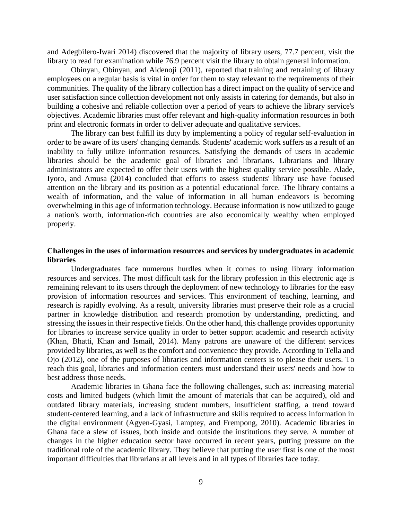and Adegbilero-Iwari 2014) discovered that the majority of library users, 77.7 percent, visit the library to read for examination while 76.9 percent visit the library to obtain general information.

Obinyan, Obinyan, and Aidenoji (2011), reported that training and retraining of library employees on a regular basis is vital in order for them to stay relevant to the requirements of their communities. The quality of the library collection has a direct impact on the quality of service and user satisfaction since collection development not only assists in catering for demands, but also in building a cohesive and reliable collection over a period of years to achieve the library service's objectives. Academic libraries must offer relevant and high-quality information resources in both print and electronic formats in order to deliver adequate and qualitative services.

The library can best fulfill its duty by implementing a policy of regular self-evaluation in order to be aware of its users' changing demands. Students' academic work suffers as a result of an inability to fully utilize information resources. Satisfying the demands of users in academic libraries should be the academic goal of libraries and librarians. Librarians and library administrators are expected to offer their users with the highest quality service possible. Alade, Iyoro, and Amusa (2014) concluded that efforts to assess students' library use have focused attention on the library and its position as a potential educational force. The library contains a wealth of information, and the value of information in all human endeavors is becoming overwhelming in this age of information technology. Because information is now utilized to gauge a nation's worth, information-rich countries are also economically wealthy when employed properly.

## **Challenges in the uses of information resources and services by undergraduates in academic libraries**

Undergraduates face numerous hurdles when it comes to using library information resources and services. The most difficult task for the library profession in this electronic age is remaining relevant to its users through the deployment of new technology to libraries for the easy provision of information resources and services. This environment of teaching, learning, and research is rapidly evolving. As a result, university libraries must preserve their role as a crucial partner in knowledge distribution and research promotion by understanding, predicting, and stressing the issues in their respective fields. On the other hand, this challenge provides opportunity for libraries to increase service quality in order to better support academic and research activity (Khan, Bhatti, Khan and Ismail, 2014). Many patrons are unaware of the different services provided by libraries, as well as the comfort and convenience they provide. According to Tella and Ojo (2012), one of the purposes of libraries and information centers is to please their users. To reach this goal, libraries and information centers must understand their users' needs and how to best address those needs.

Academic libraries in Ghana face the following challenges, such as: increasing material costs and limited budgets (which limit the amount of materials that can be acquired), old and outdated library materials, increasing student numbers, insufficient staffing, a trend toward student-centered learning, and a lack of infrastructure and skills required to access information in the digital environment (Agyen-Gyasi, Lamptey, and Frempong, 2010). Academic libraries in Ghana face a slew of issues, both inside and outside the institutions they serve. A number of changes in the higher education sector have occurred in recent years, putting pressure on the traditional role of the academic library. They believe that putting the user first is one of the most important difficulties that librarians at all levels and in all types of libraries face today.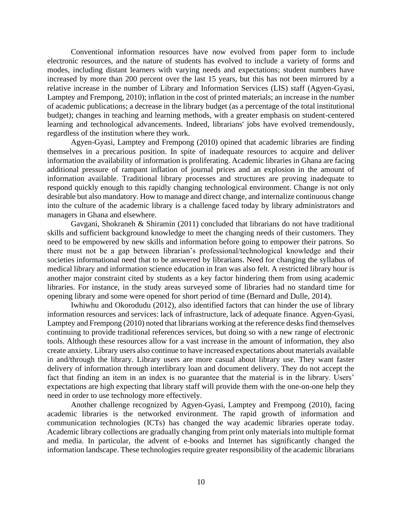Conventional information resources have now evolved from paper form to include electronic resources, and the nature of students has evolved to include a variety of forms and modes, including distant learners with varying needs and expectations; student numbers have increased by more than 200 percent over the last 15 years, but this has not been mirrored by a relative increase in the number of Library and Information Services (LIS) staff (Agyen-Gyasi, Lamptey and Frempong, 2010); inflation in the cost of printed materials; an increase in the number of academic publications; a decrease in the library budget (as a percentage of the total institutional budget); changes in teaching and learning methods, with a greater emphasis on student-centered learning and technological advancements. Indeed, librarians' jobs have evolved tremendously, regardless of the institution where they work.

Agyen-Gyasi, Lamptey and Frempong (2010) opined that academic libraries are finding themselves in a precarious position. In spite of inadequate resources to acquire and deliver information the availability of information is proliferating. Academic libraries in Ghana are facing additional pressure of rampant inflation of journal prices and an explosion in the amount of information available. Traditional library processes and structures are proving inadequate to respond quickly enough to this rapidly changing technological environment. Change is not only desirable but also mandatory. How to manage and direct change, and internalize continuous change into the culture of the academic library is a challenge faced today by library administrators and managers in Ghana and elsewhere.

Gavgani, Shokraneh & Shiramin (2011) concluded that librarians do not have traditional skills and sufficient background knowledge to meet the changing needs of their customers. They need to be empowered by new skills and information before going to empower their patrons. So there must not be a gap between librarian's professional/technological knowledge and their societies informational need that to be answered by librarians. Need for changing the syllabus of medical library and information science education in Iran was also felt. A restricted library hour is another major constraint cited by students as a key factor hindering them from using academic libraries. For instance, in the study areas surveyed some of libraries had no standard time for opening library and some were opened for short period of time (Bernard and Dulle, 2014).

Iwhiwhu and Okorodudu (2012), also identified factors that can hinder the use of library information resources and services: lack of infrastructure, lack of adequate finance. Agyen-Gyasi, Lamptey and Frempong (2010) noted that librarians working at the reference desks find themselves continuing to provide traditional references services, but doing so with a new range of electronic tools. Although these resources allow for a vast increase in the amount of information, they also create anxiety. Library users also continue to have increased expectations about materials available in and/through the library. Library users are more casual about library use. They want faster delivery of information through interlibrary loan and document delivery. They do not accept the fact that finding an item in an index is no guarantee that the material is in the library. Users' expectations are high expecting that library staff will provide them with the one-on-one help they need in order to use technology more effectively.

Another challenge recognized by Agyen-Gyasi, Lamptey and Frempong (2010), facing academic libraries is the networked environment. The rapid growth of information and communication technologies (ICTs) has changed the way academic libraries operate today. Academic library collections are gradually changing from print only materials into multiple format and media. In particular, the advent of e-books and Internet has significantly changed the information landscape. These technologies require greater responsibility of the academic librarians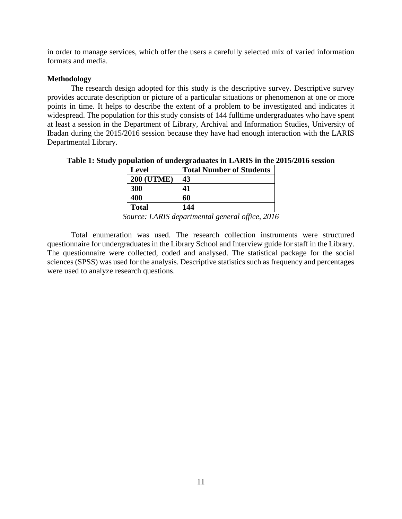in order to manage services, which offer the users a carefully selected mix of varied information formats and media.

## **Methodology**

The research design adopted for this study is the descriptive survey. Descriptive survey provides accurate description or picture of a particular situations or phenomenon at one or more points in time. It helps to describe the extent of a problem to be investigated and indicates it widespread. The population for this study consists of 144 fulltime undergraduates who have spent at least a session in the Department of Library, Archival and Information Studies, University of Ibadan during the 2015/2016 session because they have had enough interaction with the LARIS Departmental Library.

#### **Table 1: Study population of undergraduates in LARIS in the 2015/2016 session**

|                       | <b>Level</b>         | <b>Total Number of Students</b>                              |
|-----------------------|----------------------|--------------------------------------------------------------|
|                       | <b>200 (UTME)</b>    | 43                                                           |
|                       | <b>300</b>           | 41                                                           |
|                       | 400                  | 60                                                           |
|                       | <b>Total</b>         | 144                                                          |
| $\tilde{\phantom{a}}$ | $\cdot$<br>- . - - - | $\Delta$<br>$\overline{\phantom{a}}$<br>$\sim$ $\sim$ $\sim$ |

*Source: LARIS departmental general office, 2016*

Total enumeration was used. The research collection instruments were structured questionnaire for undergraduates in the Library School and Interview guide for staff in the Library. The questionnaire were collected, coded and analysed. The statistical package for the social sciences (SPSS) was used for the analysis. Descriptive statistics such as frequency and percentages were used to analyze research questions.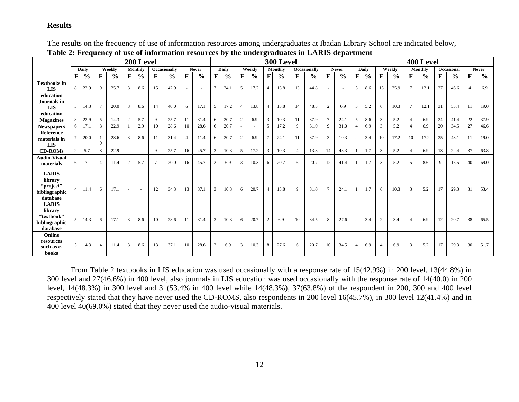# **Results**

| Table 2. Prequency of use of miorination resources by the unitergraduates in Emilio department |    |               |                |               |                |                |              |                     |                |               |               |               |                |               |                |               |                |               |                |               | 400 Level      |               |                |               |                |               |    |               |    |               |
|------------------------------------------------------------------------------------------------|----|---------------|----------------|---------------|----------------|----------------|--------------|---------------------|----------------|---------------|---------------|---------------|----------------|---------------|----------------|---------------|----------------|---------------|----------------|---------------|----------------|---------------|----------------|---------------|----------------|---------------|----|---------------|----|---------------|
|                                                                                                |    |               |                |               |                | 200 Level      |              |                     |                |               |               |               |                |               |                | 300 Level     |                |               |                |               |                |               |                |               |                |               |    |               |    |               |
|                                                                                                |    | Daily         |                | Weekly        |                | Monthly        |              | <b>Occasionally</b> |                | <b>Never</b>  |               | Daily         |                | Weekly        |                | Monthly       |                | Occasionally  |                | <b>Never</b>  |                | <b>Daily</b>  |                | Weekly        |                | Monthly       |    | Occasional    |    | <b>Never</b>  |
|                                                                                                | F  | $\frac{6}{6}$ | F              | $\frac{6}{6}$ | F              | $\frac{6}{10}$ | $\mathbf{F}$ | $\frac{0}{0}$       | F              | $\frac{0}{0}$ | $\mathbf{F}$  | $\frac{0}{0}$ | $\mathbf F$    | $\frac{6}{9}$ | $\mathbf{F}$   | $\frac{6}{6}$ | F              | $\frac{0}{0}$ | F              | $\frac{0}{0}$ | F              | $\frac{6}{6}$ | F              | $\frac{6}{6}$ | F              | $\frac{6}{6}$ | F  | $\frac{0}{0}$ | F  | $\frac{6}{6}$ |
| <b>Textbooks in</b><br><b>LIS</b>                                                              | 8  | 22.9          | $\mathbf{Q}$   | 25.7          | 3              | 8.6            | 15           | 42.9                |                | $\sim$        | 7             | 24.1          | $\mathcal{F}$  | 17.2          |                | 13.8          | 13             | 44.8          |                |               | 5              | 8.6           | 15             | 25.9          | $\tau$         | 12.1          | 27 | 46.6          |    | 6.9           |
| education                                                                                      |    |               |                |               |                |                |              |                     |                |               |               |               |                |               |                |               |                |               |                |               |                |               |                |               |                |               |    |               |    |               |
| Journals in<br>LIS                                                                             | .5 | 14.3          | $\tau$         | 20.0          | 3              | 8.6            | 14           | 40.0                | 6              | 17.1          | 5             | 17.2          | $\overline{4}$ | 13.8          |                | 13.8          | 14             | 48.3          | 2              | 6.9           | 3              | 5.2           | 6              | 10.3          | $\tau$         | 12.1          | 31 | 53.4          | 11 | 19.0          |
| education                                                                                      |    |               |                |               |                |                |              |                     |                |               |               |               |                |               |                |               |                |               |                |               |                |               |                |               |                |               |    |               |    |               |
| <b>Magazines</b>                                                                               |    | 22.9          | $\mathcal{F}$  | 14.3          | $\overline{2}$ | 5.7            | 9            | 25.7                | 11             | 31.4          | 6             | 20.7          | 2              | 6.9           | $\mathbf{3}$   | 10.3          | 11             | 37.9          |                | 24.1          | 5              | 8.6           | 3              | 5.2           | $\overline{4}$ | 6.9           | 24 | 41.4          | 22 | 37.9          |
| <b>Newspapers</b>                                                                              | 6  | 17.1          | 8              | 22.9          |                | 2.9            | 10           | 28.6                | 10             | 28.6          | 6             | 20.7          |                |               | 5              | 17.2          | 9              | 31.0          | 9              | 31.0          | $\overline{4}$ | 6.9           | 3              | 5.2           | $\overline{4}$ | 6.9           | 20 | 34.5          | 27 | 46.6          |
| Reference<br>materials in<br><b>LIS</b>                                                        |    | 20.0          | $\Omega$       | 28.6          | 3              | 8.6            | 11           | 31.4                | $\overline{4}$ | 11.4          | 6             | 20.7          | 2              | 6.9           |                | 24.1          | 11             | 37.9          | 3              | 10.3          | $\overline{2}$ | 3.4           | 10             | 17.2          | 10             | 17.2          | 25 | 43.1          | 11 | 19.0          |
| <b>CD-ROMs</b>                                                                                 |    | 5.7           | 8              | 22.9          |                |                | 9            | 25.7                | 16             | 45.7          | 3             | 10.3          | 5              | 17.2          | $\mathbf{3}$   | 10.3          | $\overline{4}$ | 13.8          | 14             | 48.3          |                | 1.7           | $\overline{3}$ | 5.2           | $\overline{4}$ | 6.9           | 13 | 22.4          | 37 | 63.8          |
| <b>Audio-Visual</b><br>materials                                                               | 6  | 17.1          | $\overline{4}$ | 11.4          | $\overline{2}$ | 5.7            | $\tau$       | 20.0                | 16             | 45.7          | $\mathcal{D}$ | 6.9           | 3              | 10.3          | 6              | 20.7          | -6             | 20.7          | 12             | 41.4          |                | 1.7           | 3              | 5.2           | 5              | 8.6           | 9  | 15.5          | 40 | 69.0          |
| <b>LARIS</b><br>library<br>"project"<br>bibliographic<br>database                              |    | 11.4          | 6              | 17.1          |                |                | 12           | 34.3                | 13             | 37.1          | 3             | 10.3          | 6              | 20.7          | $\overline{4}$ | 13.8          | 9              | 31.0          | $\overline{7}$ | 24.1          | $\mathbf{1}$   | 1.7           | 6              | 10.3          | $\overline{3}$ | 5.2           | 17 | 29.3          | 31 | 53.4          |
| <b>LARIS</b><br>library<br>"textbook"<br>bibliographic<br>database                             |    | 14.3          | 6              | 17.1          | 3              | 8.6            | 10           | 28.6                | 11             | 31.4          | 3             | 10.3          | 6              | 20.7          | 2              | 6.9           | 10             | 34.5          | 8              | 27.6          | $\overline{2}$ | 3.4           | 2              | 3.4           | $\overline{4}$ | 6.9           | 12 | 20.7          | 38 | 65.5          |
| Online<br>resources<br>such as e-<br>books                                                     | .5 | 14.3          | $\overline{4}$ | 11.4          | 3              | 8.6            | 13           | 37.1                | 10             | 28.6          | 2             | 6.9           | $\mathbf{3}$   | 10.3          | 8              | 27.6          | 6              | 20.7          | 10             | 34.5          | $\overline{4}$ | 6.9           | $\overline{4}$ | 6.9           | 3              | 5.2           | 17 | 29.3          | 30 | 51.7          |

The results on the frequency of use of information resources among undergraduates at Ibadan Library School are indicated below, **Table 2: Frequency of use of information resources by the undergraduates in LARIS department**

From Table 2 textbooks in LIS education was used occasionally with a response rate of 15(42.9%) in 200 level, 13(44.8%) in 300 level and 27(46.6%) in 400 level, also journals in LIS education was used occasionally with the response rate of 14(40.0) in 200 level, 14(48.3%) in 300 level and 31(53.4% in 400 level while 14(48.3%), 37(63.8%) of the respondent in 200, 300 and 400 level respectively stated that they have never used the CD-ROMS, also respondents in 200 level 16(45.7%), in 300 level 12(41.4%) and in 400 level 40(69.0%) stated that they never used the audio-visual materials.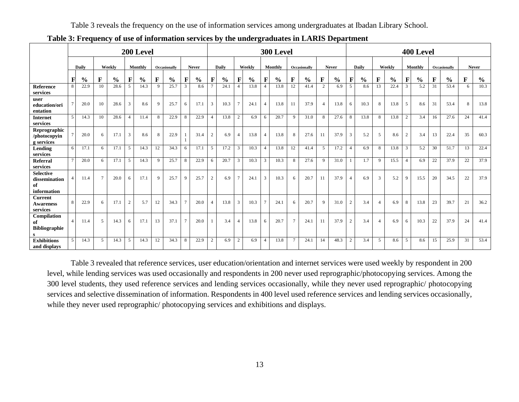Table 3 reveals the frequency on the use of information services among undergraduates at Ibadan Library School.

|                                                        |                |               |                |               |                |                |              |               |                | 300 Level     |                |               |                 |               | 400 Level                |               |                |               |                |               |                |               |                          |               |                |               |             |               |             |               |
|--------------------------------------------------------|----------------|---------------|----------------|---------------|----------------|----------------|--------------|---------------|----------------|---------------|----------------|---------------|-----------------|---------------|--------------------------|---------------|----------------|---------------|----------------|---------------|----------------|---------------|--------------------------|---------------|----------------|---------------|-------------|---------------|-------------|---------------|
|                                                        |                | Daily         |                | Weekly        |                | <b>Monthly</b> | Occasionally |               | <b>Never</b>   |               | Daily          |               |                 | Weekly        |                          | Monthly       |                | Occasionally  |                | <b>Never</b>  |                | Daily         |                          | Weekly        |                | Monthly       |             | Occasionally  |             | <b>Never</b>  |
|                                                        | F              | $\frac{0}{0}$ | F              | $\frac{6}{6}$ | $\mathbf F$    | $\frac{6}{6}$  | F            | $\frac{0}{0}$ | F              | $\frac{0}{0}$ | F              | $\frac{6}{6}$ | F               | $\frac{0}{0}$ | F                        | $\frac{6}{6}$ | $\mathbf{F}$   | $\frac{0}{0}$ | $\mathbf F$    | $\frac{0}{0}$ | $\mathbf F$    | $\frac{0}{0}$ | $\mathbf F$              | $\frac{0}{0}$ | $\mathbf F$    | $\frac{6}{6}$ | $\mathbf F$ | $\frac{0}{0}$ | $\mathbf F$ | $\frac{0}{0}$ |
| <b>Reference</b><br>services                           | 8              | 22.9          | 10             | 28.6          | $\mathfrak{F}$ | 14.3           | $\mathbf{Q}$ | 25.7          | $\overline{3}$ | 8.6           |                | 24.1          | $\overline{4}$  | 13.8          |                          | 13.8          | 12             | 41.4          | 2              | 6.9           | $\mathcal{F}$  | 8.6           | 13                       | 22.4          | $\overline{3}$ | 5.2           | 31          | 53.4          | 6           | 10.3          |
| user<br>education/ori<br>entation                      |                | 20.0          | 10             | 28.6          | 3              | 8.6            | 9            | 25.7          | 6              | 17.1          | 3              | 10.3          | $7\phantom{.0}$ | 24.1          | 4                        | 13.8          | 11             | 37.9          | $\overline{4}$ | 13.8          | 6              | 10.3          | 8                        | 13.8          | 5              | 8.6           | 31          | 53.4          | 8           | 13.8          |
| <b>Internet</b><br>services                            | $\overline{5}$ | 14.3          | 10             | 28.6          | $\overline{4}$ | 11.4           | 8            | 22.9          | 8              | 22.9          | $\overline{4}$ | 13.8          | 2               | 6.9           | 6                        | 20.7          | 9              | 31.0          | 8              | 27.6          | 8              | 13.8          | 8                        | 13.8          | 2              | 3.4           | 16          | 27.6          | 24          | 41.4          |
| Reprographic<br>/photocopyin<br>g services             |                | 20.0          | 6              | 17.1          | $\overline{3}$ | 8.6            | 8            | 22.9          |                | 31.4          | $\overline{c}$ | 6.9           | $\overline{4}$  | 13.8          | 4                        | 13.8          | 8              | 27.6          | 11             | 37.9          | $\mathfrak{Z}$ | 5.2           | 5                        | 8.6           | 2              | 3.4           | 13          | 22.4          | 35          | 60.3          |
| Lending<br>services                                    | 6              | 17.1          | 6              | 17.1          | 5              | 14.3           | 12           | 34.3          | 6              | 17.1          | 5              | 17.2          | 3               | 10.3          | $\overline{\mathcal{A}}$ | 13.8          | 12             | 41.4          | 5              | 17.2          | $\overline{4}$ | 6.9           | 8                        | 13.8          | 3              | 5.2           | 30          | 51.7          | 13          | 22.4          |
| Referral<br>services                                   | $\tau$         | 20.0          | 6              | 17.1          | 5              | 14.3           | 9            | 25.7          | 8              | 22.9          | 6              | 20.7          | 3               | 10.3          | 3                        | 10.3          | 8              | 27.6          | 9              | 31.0          |                | 1.7           | 9                        | 15.5          | $\overline{4}$ | 6.9           | 22          | 37.9          | 22          | 37.9          |
| <b>Selective</b><br>dissemination<br>of<br>information |                | 11.4          | $\overline{7}$ | 20.0          | 6              | 17.1           | $\mathbf{Q}$ | 25.7          | 9              | 25.7          | $\overline{2}$ | 6.9           | $\overline{7}$  | 24.1          | 3                        | 10.3          | 6              | 20.7          | 11             | 37.9          | $\overline{4}$ | 6.9           | 3                        | 5.2           | 9              | 15.5          | 20          | 34.5          | 22          | 37.9          |
| <b>Current</b><br><b>Awareness</b><br>services         | 8              | 22.9          | 6              | 17.1          | $\overline{2}$ | 5.7            | 12           | 34.3          | $\mathcal{I}$  | 20.0          | 4              | 13.8          | 3               | 10.3          |                          | 24.1          |                | 20.7          | $\mathbf{Q}$   | 31.0          | 2              | 3.4           | $\overline{\mathcal{A}}$ | 6.9           | 8              | 13.8          | 23          | 39.7          | 21          | 36.2          |
| Compilation<br>of<br><b>Bibliographie</b>              | $\overline{4}$ | 11.4          | 5              | 14.3          | 6              | 17.1           | 13           | 37.1          | $\overline{7}$ | 20.0          |                | 3.4           | $\overline{4}$  | 13.8          | 6                        | 20.7          | -7             | 24.1          | 11             | 37.9          | 2              | 3.4           | $\overline{4}$           | 6.9           | 6              | 10.3          | 22          | 37.9          | 24          | 41.4          |
| <b>Exhibitions</b><br>and displays                     | $\mathcal{F}$  | 14.3          | 5              | 14.3          | $\overline{5}$ | 14.3           | 12           | 34.3          | 8              | 22.9          | 2              | 6.9           | 2               | 6.9           | 4                        | 13.8          | $\overline{7}$ | 24.1          | 14             | 48.3          | $\overline{2}$ | 3.4           | 5                        | 8.6           | 5              | 8.6           | 15          | 25.9          | 31          | 53.4          |

**Table 3: Frequency of use of information services by the undergraduates in LARIS Department**

Table 3 revealed that reference services, user education/orientation and internet services were used weekly by respondent in 200 level, while lending services was used occasionally and respondents in 200 never used reprographic/photocopying services. Among the 300 level students, they used reference services and lending services occasionally, while they never used reprographic/ photocopying services and selective dissemination of information. Respondents in 400 level used reference services and lending services occasionally, while they never used reprographic/ photocopying services and exhibitions and displays.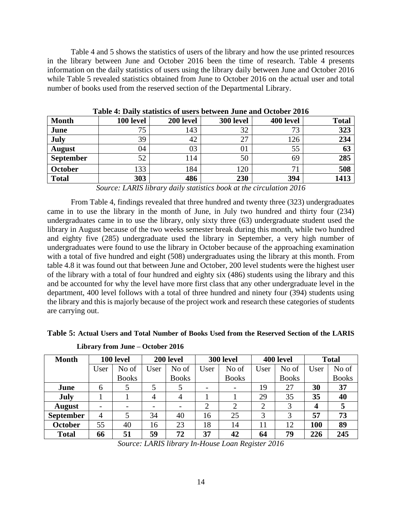Table 4 and 5 shows the statistics of users of the library and how the use printed resources in the library between June and October 2016 been the time of research. Table 4 presents information on the daily statistics of users using the library daily between June and October 2016 while Table 5 revealed statistics obtained from June to October 2016 on the actual user and total number of books used from the reserved section of the Departmental Library.

| <b>Month</b>     | 100 level | 200 level | 300 level | 400 level   | <b>Total</b> |
|------------------|-----------|-----------|-----------|-------------|--------------|
| June             | 75        | 143       | 32        | 73          | 323          |
| July             | 39        | 42        | 27        | 126         | 234          |
| <b>August</b>    | 04        | 03        | 01        | 55          | 63           |
| <b>September</b> | 52        | 114       | 50        | 69          | 285          |
| October          | 133       | 184       | 120       | $7^{\circ}$ | 508          |
| <b>Total</b>     | 303       | 486       | 230       | 394         | 1413         |

**Table 4: Daily statistics of users between June and October 2016**

*Source: LARIS library daily statistics book at the circulation 2016*

From Table 4, findings revealed that three hundred and twenty three (323) undergraduates came in to use the library in the month of June, in July two hundred and thirty four (234) undergraduates came in to use the library, only sixty three (63) undergraduate student used the library in August because of the two weeks semester break during this month, while two hundred and eighty five (285) undergraduate used the library in September, a very high number of undergraduates were found to use the library in October because of the approaching examination with a total of five hundred and eight (508) undergraduates using the library at this month. From table 4.8 it was found out that between June and October, 200 level students were the highest user of the library with a total of four hundred and eighty six (486) students using the library and this and be accounted for why the level have more first class that any other undergraduate level in the department, 400 level follows with a total of three hundred and ninety four (394) students using the library and this is majorly because of the project work and research these categories of students are carrying out.

**Table 5: Actual Users and Total Number of Books Used from the Reserved Section of the LARIS** 

| <b>Month</b>     |                          | 100 level |               | 200 level                |                | 300 level                |                | 400 level    | <b>Total</b>     |              |  |  |
|------------------|--------------------------|-----------|---------------|--------------------------|----------------|--------------------------|----------------|--------------|------------------|--------------|--|--|
|                  | No of<br>User            |           | User<br>No of |                          | User           | No of                    | User           | No of        | User             | No of        |  |  |
|                  | <b>Books</b>             |           |               | <b>Books</b>             |                | <b>Books</b>             |                | <b>Books</b> |                  | <b>Books</b> |  |  |
| June             | 6                        | 5         |               |                          |                | $\overline{\phantom{a}}$ | 19             | 27           | 30               | 37           |  |  |
| <b>July</b>      |                          |           | 4             | 4                        |                |                          | 29             | 35           | 35               | 40           |  |  |
| <b>August</b>    | $\overline{\phantom{0}}$ |           | -             | $\overline{\phantom{a}}$ | $\overline{2}$ | 2                        | $\overline{2}$ | 3            | $\boldsymbol{4}$ |              |  |  |
| <b>September</b> | 4                        |           | 34            | 40                       | 16             | 25                       | 3              | 3            | 57               | 73           |  |  |
| October          | 55                       | 40        | 16            | 23                       | 18             | 14                       | 11             | 12           | 100              | 89           |  |  |
| <b>Total</b>     | 66                       | 51        | 59            | 72                       | 37             | 42                       | 64             | 79           | 226              | 245          |  |  |

**Library from June – October 2016**

*Source: LARIS library In-House Loan Register 2016*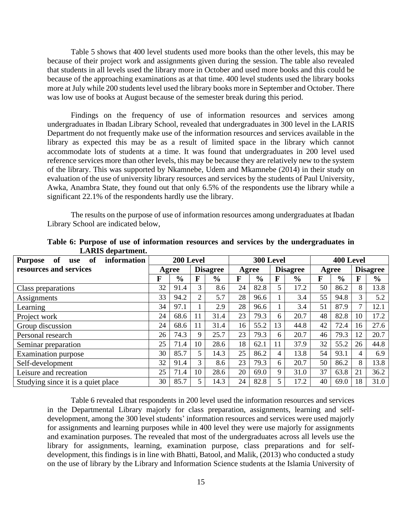Table 5 shows that 400 level students used more books than the other levels, this may be because of their project work and assignments given during the session. The table also revealed that students in all levels used the library more in October and used more books and this could be because of the approaching examinations as at that time. 400 level students used the library books more at July while 200 students level used the library books more in September and October. There was low use of books at August because of the semester break during this period.

Findings on the frequency of use of information resources and services among undergraduates in Ibadan Library School, revealed that undergraduates in 300 level in the LARIS Department do not frequently make use of the information resources and services available in the library as expected this may be as a result of limited space in the library which cannot accommodate lots of students at a time. It was found that undergraduates in 200 level used reference services more than other levels, this may be because they are relatively new to the system of the library. This was supported by Nkamnebe, Udem and Mkamnebe (2014) in their study on evaluation of the use of university library resources and services by the students of Paul University, Awka, Anambra State, they found out that only 6.5% of the respondents use the library while a significant 22.1% of the respondents hardly use the library.

The results on the purpose of use of information resources among undergraduates at Ibadan Library School are indicated below,

| of<br>of<br><b>Purpose</b><br>information<br>use |    | 200 Level     |                |                 |    | 300 Level     |    |                 | 400 Level |               |                |                 |  |  |
|--------------------------------------------------|----|---------------|----------------|-----------------|----|---------------|----|-----------------|-----------|---------------|----------------|-----------------|--|--|
| resources and services                           |    | Agree         |                | <b>Disagree</b> |    | Agree         |    | <b>Disagree</b> |           | Agree         |                | <b>Disagree</b> |  |  |
|                                                  | F  | $\frac{6}{9}$ | F              | $\frac{6}{6}$   | F  | $\frac{6}{6}$ | F  | $\frac{6}{6}$   | F         | $\frac{0}{0}$ | F              | $\frac{6}{6}$   |  |  |
| Class preparations                               | 32 | 91.4          | 3              | 8.6             | 24 | 82.8          |    | 17.2            | 50        | 86.2          | 8              | 13.8            |  |  |
| Assignments                                      | 33 | 94.2          | $\overline{2}$ | 5.7             | 28 | 96.6          |    | 3.4             | 55        | 94.8          | 3              | 5.2             |  |  |
| Learning                                         | 34 | 97.1          |                | 2.9             | 28 | 96.6          |    | 3.4             | 51        | 87.9          | $\overline{7}$ | 12.1            |  |  |
| Project work                                     | 24 | 68.6          |                | 31.4            | 23 | 79.3          | 6  | 20.7            | 48        | 82.8          | 10             | 17.2            |  |  |
| Group discussion                                 | 24 | 68.6          |                | 31.4            | 16 | 55.2          | 13 | 44.8            | 42        | 72.4          | 16             | 27.6            |  |  |
| Personal research                                | 26 | 74.3          | 9              | 25.7            | 23 | 79.3          | 6  | 20.7            | 46        | 79.3          | 12             | 20.7            |  |  |
| Seminar preparation                              | 25 | 71.4          | 10             | 28.6            | 18 | 62.1          | 11 | 37.9            | 32        | 55.2          | 26             | 44.8            |  |  |
| <b>Examination</b> purpose                       | 30 | 85.7          | 5              | 14.3            | 25 | 86.2          | 4  | 13.8            | 54        | 93.1          | 4              | 6.9             |  |  |
| Self-development                                 | 32 | 91.4          | 3              | 8.6             | 23 | 79.3          | 6  | 20.7            | 50        | 86.2          | 8              | 13.8            |  |  |
| Leisure and recreation                           | 25 | 71.4          | 10             | 28.6            | 20 | 69.0          | 9  | 31.0            | 37        | 63.8          | 21             | 36.2            |  |  |
| Studying since it is a quiet place               | 30 | 85.7          |                | 14.3            | 24 | 82.8          |    | 17.2            | 40        | 69.0          | 18             | 31.0            |  |  |

**Table 6: Purpose of use of information resources and services by the undergraduates in LARIS department.**

Table 6 revealed that respondents in 200 level used the information resources and services in the Departmental Library majorly for class preparation, assignments, learning and selfdevelopment, among the 300 level students' information resources and services were used majorly for assignments and learning purposes while in 400 level they were use majorly for assignments and examination purposes. The revealed that most of the undergraduates across all levels use the library for assignments, learning, examination purpose, class preparations and for selfdevelopment, this findings is in line with Bhatti, Batool, and Malik, (2013) who conducted a study on the use of library by the Library and Information Science students at the Islamia University of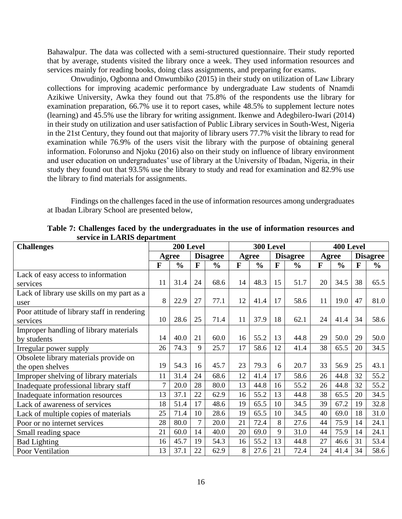Bahawalpur. The data was collected with a semi-structured questionnaire. Their study reported that by average, students visited the library once a week. They used information resources and services mainly for reading books, doing class assignments, and preparing for exams.

Onwudinjo, Ogbonna and Onwumbiko (2015) in their study on utilization of Law Library collections for improving academic performance by undergraduate Law students of Nnamdi Azikiwe University, Awka they found out that 75.8% of the respondents use the library for examination preparation, 66.7% use it to report cases, while 48.5% to supplement lecture notes (learning) and 45.5% use the library for writing assignment. Ikenwe and Adegbilero-Iwari (2014) in their study on utilization and user satisfaction of Public Library services in South-West, Nigeria in the 21st Century, they found out that majority of library users 77.7% visit the library to read for examination while 76.9% of the users visit the library with the purpose of obtaining general information. Folorunso and Njoku (2016) also on their study on influence of library environment and user education on undergraduates' use of library at the University of Ibadan, Nigeria, in their study they found out that 93.5% use the library to study and read for examination and 82.9% use the library to find materials for assignments.

Findings on the challenges faced in the use of information resources among undergraduates at Ibadan Library School are presented below,

| <b>Challenges</b>                           |    | 200 Level     |                |                 |    | 300 Level     |              |                 | 400 Level |               |    |                 |  |  |
|---------------------------------------------|----|---------------|----------------|-----------------|----|---------------|--------------|-----------------|-----------|---------------|----|-----------------|--|--|
|                                             |    | Agree         |                | <b>Disagree</b> |    | Agree         |              | <b>Disagree</b> |           | Agree         |    | <b>Disagree</b> |  |  |
|                                             | F  | $\frac{0}{0}$ | F              | $\frac{0}{0}$   | F  | $\frac{0}{0}$ | $\mathbf{F}$ | $\frac{0}{0}$   | F         | $\frac{0}{0}$ | F  | $\frac{6}{6}$   |  |  |
| Lack of easy access to information          |    |               |                |                 |    |               |              |                 |           |               |    |                 |  |  |
| services                                    | 11 | 31.4          | 24             | 68.6            | 14 | 48.3          | 15           | 51.7            | 20        | 34.5          | 38 | 65.5            |  |  |
| Lack of library use skills on my part as a  |    |               |                |                 |    |               |              |                 |           |               |    |                 |  |  |
| user                                        | 8  | 22.9          | 27             | 77.1            | 12 | 41.4          | 17           | 58.6            | 11        | 19.0          | 47 | 81.0            |  |  |
| Poor attitude of library staff in rendering |    |               |                |                 |    |               |              |                 |           |               |    |                 |  |  |
| services                                    | 10 | 28.6          | 25             | 71.4            | 11 | 37.9          | 18           | 62.1            | 24        | 41.4          | 34 | 58.6            |  |  |
| Improper handling of library materials      |    |               |                |                 |    |               |              |                 |           |               |    |                 |  |  |
| by students                                 | 14 | 40.0          | 21             | 60.0            | 16 | 55.2          | 13           | 44.8            | 29        | 50.0          | 29 | 50.0            |  |  |
| Irregular power supply                      | 26 | 74.3          | 9              | 25.7            | 17 | 58.6          | 12           | 41.4            | 38        | 65.5          | 20 | 34.5            |  |  |
| Obsolete library materials provide on       |    |               |                |                 |    |               |              |                 |           |               |    |                 |  |  |
| the open shelves                            | 19 | 54.3          | 16             | 45.7            | 23 | 79.3          | 6            | 20.7            | 33        | 56.9          | 25 | 43.1            |  |  |
| Improper shelving of library materials      | 11 | 31.4          | 24             | 68.6            | 12 | 41.4          | 17           | 58.6            | 26        | 44.8          | 32 | 55.2            |  |  |
| Inadequate professional library staff       | 7  | 20.0          | 28             | 80.0            | 13 | 44.8          | 16           | 55.2            | 26        | 44.8          | 32 | 55.2            |  |  |
| Inadequate information resources            | 13 | 37.1          | 22             | 62.9            | 16 | 55.2          | 13           | 44.8            | 38        | 65.5          | 20 | 34.5            |  |  |
| Lack of awareness of services               | 18 | 51.4          | 17             | 48.6            | 19 | 65.5          | 10           | 34.5            | 39        | 67.2          | 19 | 32.8            |  |  |
| Lack of multiple copies of materials        | 25 | 71.4          | 10             | 28.6            | 19 | 65.5          | 10           | 34.5            | 40        | 69.0          | 18 | 31.0            |  |  |
| Poor or no internet services                | 28 | 80.0          | $\overline{7}$ | 20.0            | 21 | 72.4          | 8            | 27.6            | 44        | 75.9          | 14 | 24.1            |  |  |
| Small reading space                         | 21 | 60.0          | 14             | 40.0            | 20 | 69.0          | 9            | 31.0            | 44        | 75.9          | 14 | 24.1            |  |  |
| <b>Bad Lighting</b>                         | 16 | 45.7          | 19             | 54.3            | 16 | 55.2          | 13           | 44.8            | 27        | 46.6          | 31 | 53.4            |  |  |
| Poor Ventilation                            | 13 | 37.1          | 22             | 62.9            | 8  | 27.6          | 21           | 72.4            | 24        | 41.4          | 34 | 58.6            |  |  |

**Table 7: Challenges faced by the undergraduates in the use of information resources and service in LARIS department**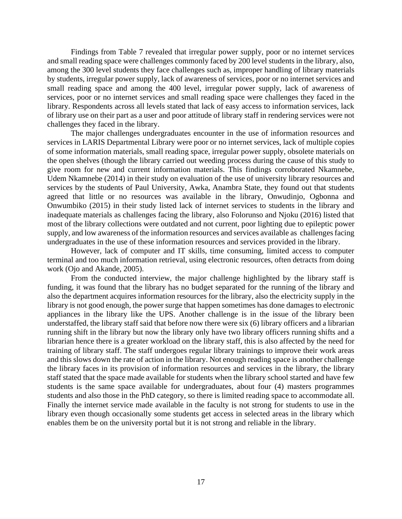Findings from Table 7 revealed that irregular power supply, poor or no internet services and small reading space were challenges commonly faced by 200 level students in the library, also, among the 300 level students they face challenges such as, improper handling of library materials by students, irregular power supply, lack of awareness of services, poor or no internet services and small reading space and among the 400 level, irregular power supply, lack of awareness of services, poor or no internet services and small reading space were challenges they faced in the library. Respondents across all levels stated that lack of easy access to information services, lack of library use on their part as a user and poor attitude of library staff in rendering services were not challenges they faced in the library.

The major challenges undergraduates encounter in the use of information resources and services in LARIS Departmental Library were poor or no internet services, lack of multiple copies of some information materials, small reading space, irregular power supply, obsolete materials on the open shelves (though the library carried out weeding process during the cause of this study to give room for new and current information materials. This findings corroborated Nkamnebe, Udem Nkamnebe (2014) in their study on evaluation of the use of university library resources and services by the students of Paul University, Awka, Anambra State, they found out that students agreed that little or no resources was available in the library, Onwudinjo, Ogbonna and Onwumbiko (2015) in their study listed lack of internet services to students in the library and inadequate materials as challenges facing the library, also Folorunso and Njoku (2016) listed that most of the library collections were outdated and not current, poor lighting due to epileptic power supply, and low awareness of the information resources and services available as challenges facing undergraduates in the use of these information resources and services provided in the library.

However, lack of computer and IT skills, time consuming, limited access to computer terminal and too much information retrieval, using electronic resources, often detracts from doing work (Ojo and Akande, 2005).

From the conducted interview, the major challenge highlighted by the library staff is funding, it was found that the library has no budget separated for the running of the library and also the department acquires information resources for the library, also the electricity supply in the library is not good enough, the power surge that happen sometimes has done damages to electronic appliances in the library like the UPS. Another challenge is in the issue of the library been understaffed, the library staff said that before now there were six (6) library officers and a librarian running shift in the library but now the library only have two library officers running shifts and a librarian hence there is a greater workload on the library staff, this is also affected by the need for training of library staff. The staff undergoes regular library trainings to improve their work areas and this slows down the rate of action in the library. Not enough reading space is another challenge the library faces in its provision of information resources and services in the library, the library staff stated that the space made available for students when the library school started and have few students is the same space available for undergraduates, about four (4) masters programmes students and also those in the PhD category, so there is limited reading space to accommodate all. Finally the internet service made available in the faculty is not strong for students to use in the library even though occasionally some students get access in selected areas in the library which enables them be on the university portal but it is not strong and reliable in the library.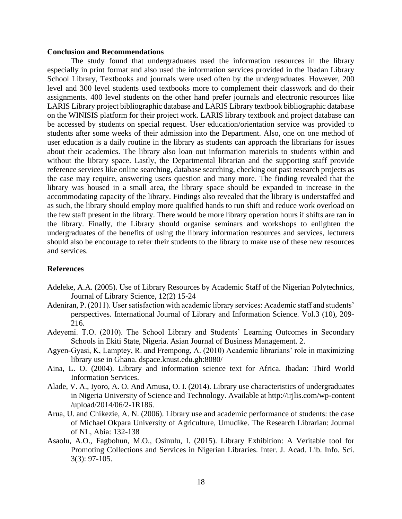#### **Conclusion and Recommendations**

The study found that undergraduates used the information resources in the library especially in print format and also used the information services provided in the Ibadan Library School Library, Textbooks and journals were used often by the undergraduates. However, 200 level and 300 level students used textbooks more to complement their classwork and do their assignments. 400 level students on the other hand prefer journals and electronic resources like LARIS Library project bibliographic database and LARIS Library textbook bibliographic database on the WINISIS platform for their project work. LARIS library textbook and project database can be accessed by students on special request. User education/orientation service was provided to students after some weeks of their admission into the Department. Also, one on one method of user education is a daily routine in the library as students can approach the librarians for issues about their academics. The library also loan out information materials to students within and without the library space. Lastly, the Departmental librarian and the supporting staff provide reference services like online searching, database searching, checking out past research projects as the case may require, answering users question and many more. The finding revealed that the library was housed in a small area, the library space should be expanded to increase in the accommodating capacity of the library. Findings also revealed that the library is understaffed and as such, the library should employ more qualified hands to run shift and reduce work overload on the few staff present in the library. There would be more library operation hours if shifts are ran in the library. Finally, the Library should organise seminars and workshops to enlighten the undergraduates of the benefits of using the library information resources and services, lecturers should also be encourage to refer their students to the library to make use of these new resources and services.

#### **References**

- Adeleke, A.A. (2005). Use of Library Resources by Academic Staff of the Nigerian Polytechnics, Journal of Library Science, 12(2) 15-24
- Adeniran, P. (2011). User satisfaction with academic library services: Academic staff and students' perspectives. International Journal of Library and Information Science. Vol.3 (10), 209- 216.
- Adeyemi. T.O. (2010). The School Library and Students' Learning Outcomes in Secondary Schools in Ekiti State, Nigeria. Asian Journal of Business Management. 2.
- Agyen-Gyasi, K, Lamptey, R. and Frempong, A. (2010) Academic librarians' role in maximizing library use in Ghana. dspace.knust.edu.gh:8080/
- Aina, L. O. (2004). Library and information science text for Africa. Ibadan: Third World Information Services.
- Alade, V. A., Iyoro, A. O. And Amusa, O. I. (2014). Library use characteristics of undergraduates in Nigeria University of Science and Technology. Available at http://irjlis.com/wp-content /upload/2014/06/2-1R186.
- Arua, U. and Chikezie, A. N. (2006). Library use and academic performance of students: the case of Michael Okpara University of Agriculture, Umudike. The Research Librarian: Journal of NL, Abia: 132-138
- Asaolu, A.O., Fagbohun, M.O., Osinulu, I. (2015). Library Exhibition: A Veritable tool for Promoting Collections and Services in Nigerian Libraries. Inter. J. Acad. Lib. Info. Sci. 3(3): 97-105.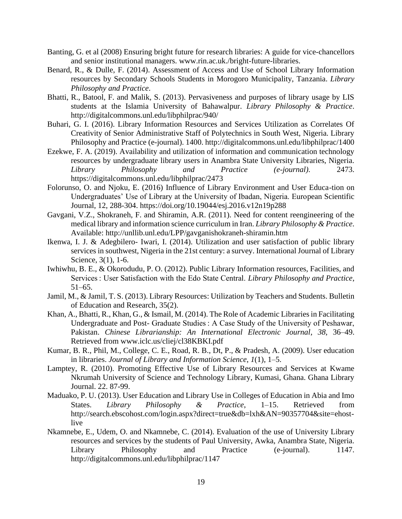- Banting, G. et al (2008) Ensuring bright future for research libraries: A guide for vice-chancellors and senior institutional managers. www.rin.ac.uk./bright-future-libraries.
- Benard, R., & Dulle, F. (2014). Assessment of Access and Use of School Library Information resources by Secondary Schools Students in Morogoro Municipality, Tanzania. *Library Philosophy and Practice*.
- Bhatti, R., Batool, F. and Malik, S. (2013). Pervasiveness and purposes of library usage by LIS students at the Islamia University of Bahawalpur. *Library Philosophy & Practice*. http://digitalcommons.unl.edu/libphilprac/940/
- Buhari, G. I. (2016). Library Information Resources and Services Utilization as Correlates Of Creativity of Senior Administrative Staff of Polytechnics in South West, Nigeria. Library Philosophy and Practice (e-journal). 1400. http://digitalcommons.unl.edu/libphilprac/1400
- Ezekwe, F. A. (2019). Availability and utilization of information and communication technology resources by undergraduate library users in Anambra State University Libraries, Nigeria. *Library Philosophy and Practice (e-journal).* 2473. https://digitalcommons.unl.edu/libphilprac/2473
- Folorunso, O. and Njoku, E. (2016) Influence of Library Environment and User Educa-tion on Undergraduates' Use of Library at the University of Ibadan, Nigeria. European Scientific Journal, 12, 288-304. https://doi.org/10.19044/esj.2016.v12n19p288
- Gavgani, V.Z., Shokraneh, F. and Shiramin, A.R. (2011). Need for content reengineering of the medical library and information science curriculum in Iran. *Library Philosophy & Practice*. Available: http://unllib.unl.edu/LPP/gavganishokraneh-shiramin.htm
- Ikenwa, I. J. & Adegbilero- Iwari, I. (2014). Utilization and user satisfaction of public library services in southwest, Nigeria in the 21st century: a survey. International Journal of Library Science, 3(1), 1-6.
- Iwhiwhu, B. E., & Okorodudu, P. O. (2012). Public Library Information resources, Facilities, and Services : User Satisfaction with the Edo State Central. *Library Philosophy and Practice*, 51–65.
- Jamil, M., & Jamil, T. S. (2013). Library Resources: Utilization by Teachers and Students. Bulletin of Education and Research, 35(2).
- Khan, A., Bhatti, R., Khan, G., & Ismail, M. (2014). The Role of Academic Libraries in Facilitating Undergraduate and Post- Graduate Studies : A Case Study of the University of Peshawar, Pakistan. *Chinese Librarianship: An International Electronic Journal*, *38*, 36–49. Retrieved from www.iclc.us/cliej/cl38KBKI.pdf
- Kumar, B. R., Phil, M., College, C. E., Road, R. B., Dt, P., & Pradesh, A. (2009). User education in libraries. *Journal of Library and Information Science*, *1*(1), 1–5.
- Lamptey, R. (2010). Promoting Effective Use of Library Resources and Services at Kwame Nkrumah University of Science and Technology Library, Kumasi, Ghana. Ghana Library Journal. 22. 87-99.
- Maduako, P. U. (2013). User Education and Library Use in Colleges of Education in Abia and Imo States. *Library Philosophy & Practice*, 1–15. Retrieved from http://search.ebscohost.com/login.aspx?direct=true&db=lxh&AN=90357704&site=ehostlive
- Nkamnebe, E., Udem, O. and Nkamnebe, C. (2014). Evaluation of the use of University Library resources and services by the students of Paul University, Awka, Anambra State, Nigeria. Library Philosophy and Practice (e-journal). 1147. http://digitalcommons.unl.edu/libphilprac/1147